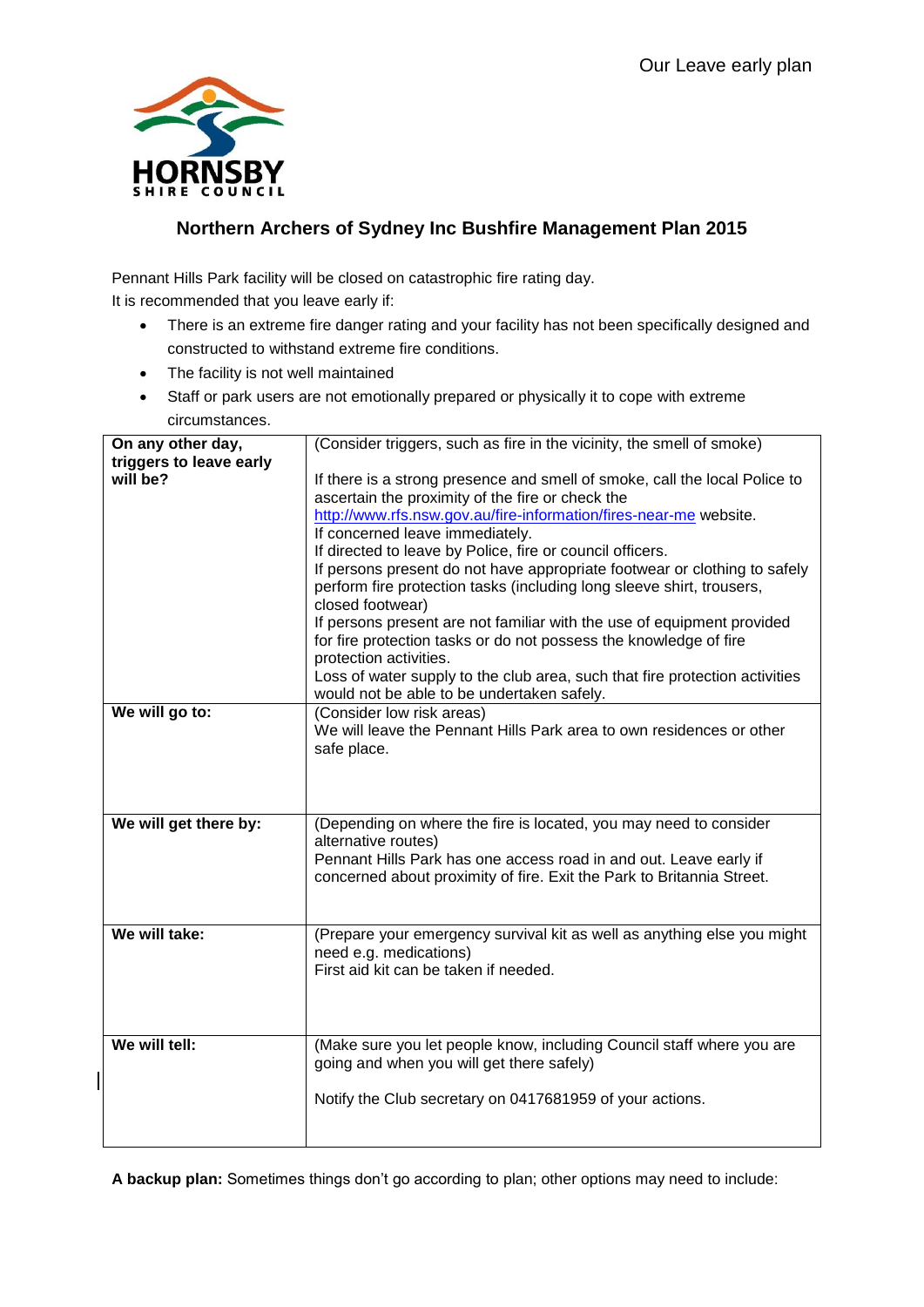

 $\overline{\phantom{a}}$ 

## **Northern Archers of Sydney Inc Bushfire Management Plan 2015**

Pennant Hills Park facility will be closed on catastrophic fire rating day.

It is recommended that you leave early if:

- There is an extreme fire danger rating and your facility has not been specifically designed and constructed to withstand extreme fire conditions.
- The facility is not well maintained
- Staff or park users are not emotionally prepared or physically it to cope with extreme circumstances.

| On any other day,       | (Consider triggers, such as fire in the vicinity, the smell of smoke)       |
|-------------------------|-----------------------------------------------------------------------------|
| triggers to leave early |                                                                             |
| will be?                | If there is a strong presence and smell of smoke, call the local Police to  |
|                         | ascertain the proximity of the fire or check the                            |
|                         | http://www.rfs.nsw.gov.au/fire-information/fires-near-me website.           |
|                         | If concerned leave immediately.                                             |
|                         | If directed to leave by Police, fire or council officers.                   |
|                         | If persons present do not have appropriate footwear or clothing to safely   |
|                         | perform fire protection tasks (including long sleeve shirt, trousers,       |
|                         | closed footwear)                                                            |
|                         | If persons present are not familiar with the use of equipment provided      |
|                         | for fire protection tasks or do not possess the knowledge of fire           |
|                         | protection activities.                                                      |
|                         | Loss of water supply to the club area, such that fire protection activities |
| We will go to:          | would not be able to be undertaken safely.<br>(Consider low risk areas)     |
|                         | We will leave the Pennant Hills Park area to own residences or other        |
|                         | safe place.                                                                 |
|                         |                                                                             |
|                         |                                                                             |
|                         |                                                                             |
| We will get there by:   | (Depending on where the fire is located, you may need to consider           |
|                         |                                                                             |
|                         | alternative routes)                                                         |
|                         | Pennant Hills Park has one access road in and out. Leave early if           |
|                         | concerned about proximity of fire. Exit the Park to Britannia Street.       |
|                         |                                                                             |
|                         |                                                                             |
| We will take:           | (Prepare your emergency survival kit as well as anything else you might     |
|                         | need e.g. medications)                                                      |
|                         | First aid kit can be taken if needed.                                       |
|                         |                                                                             |
|                         |                                                                             |
|                         |                                                                             |
| We will tell:           | (Make sure you let people know, including Council staff where you are       |
|                         | going and when you will get there safely)                                   |
|                         |                                                                             |
|                         | Notify the Club secretary on 0417681959 of your actions.                    |
|                         |                                                                             |

**A backup plan:** Sometimes things don't go according to plan; other options may need to include: